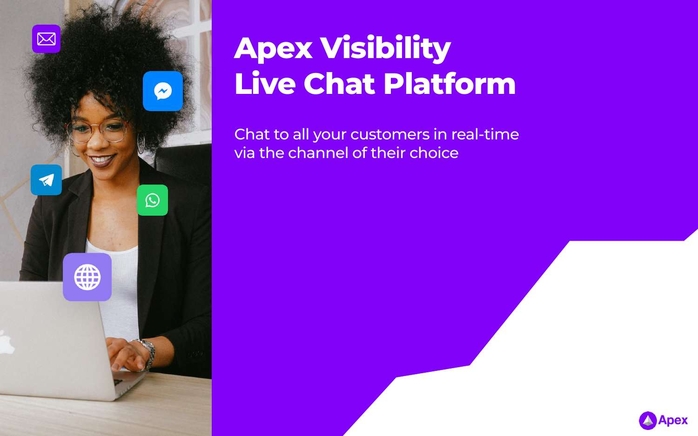

## **Apex Visibility Live Chat Platform**

Chat to all your customers in real-time via the channel of their choice



Apex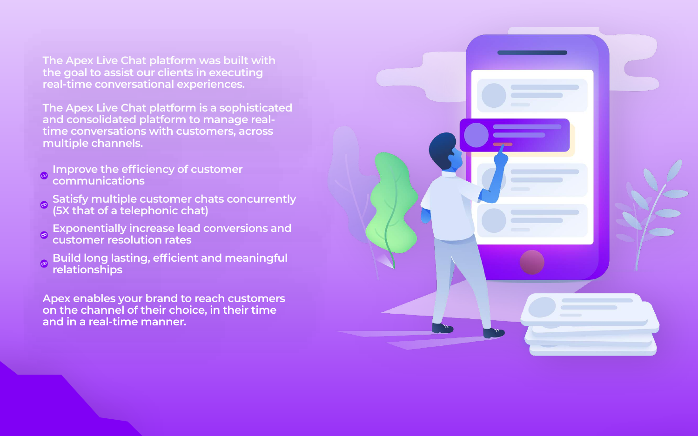**The Apex Live Chat platform was built with the goal to assist our clients in executing real-time conversational experiences.**

**The Apex Live Chat platform is a sophisticated and consolidated platform to manage realtime conversations with customers, across multiple channels.**

- **Improve the efficiency of customer**   $\bullet$ **communications**
- **Satisfy multiple customer chats concurrently (5X that of a telephonic chat)**
- **Exponentially increase lead conversions and customer resolution rates**
- **Build long lasting, efficient and meaningful relationships**

**Apex enables your brand to reach customers on the channel of their choice, in their time and in a real-time manner.**

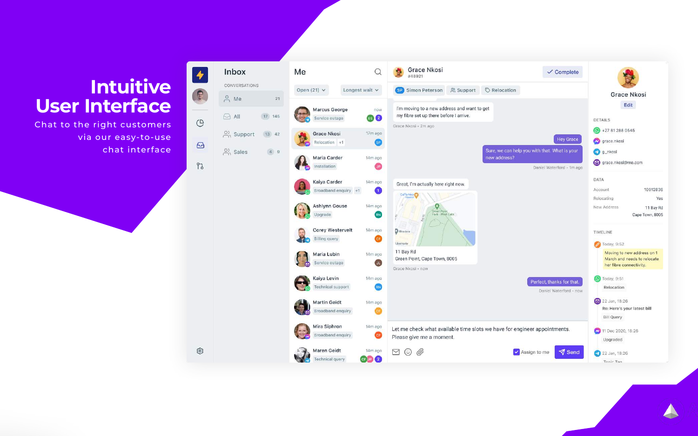### **Intuitive User Interface**

Chat to the right customers via our easy-to-use chat interface



ල

 $21$ 

17 145

13 42

4 9



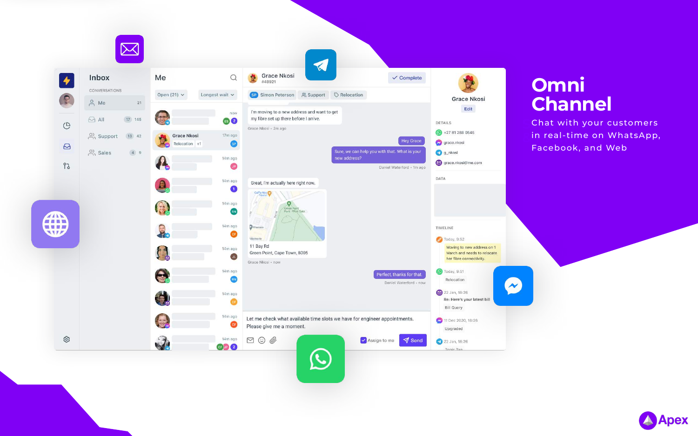

#### **Omni Channel**

**Chat with your customers & Promotions** in real-time on WhatsApp, Facebook, and Web

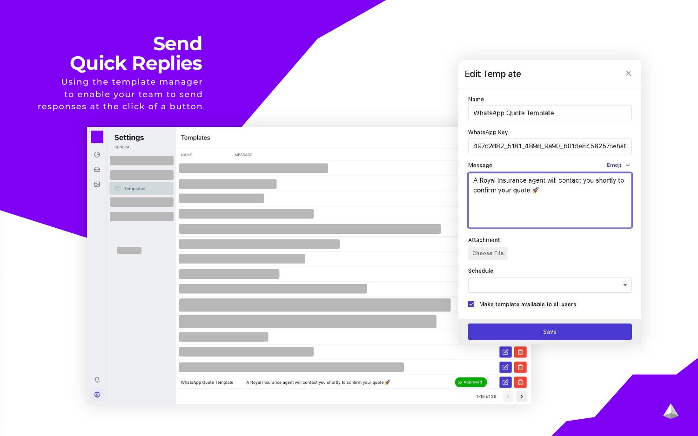#### **Send Quick Replies**

Using the template manager to enable your team to send respo

| to enable your team to send                |                                                                                                   | Name                                                                      |
|--------------------------------------------|---------------------------------------------------------------------------------------------------|---------------------------------------------------------------------------|
| nses at the click of a button              |                                                                                                   | WhatsApp Quote Template                                                   |
| <b>Settings</b>                            | Templates                                                                                         | WhatsApp Key                                                              |
| GENERAL                                    |                                                                                                   | 497c2d82_5181_489d_9a90_b01de8458257:what                                 |
| $\mathbb{G}$                               | NAME<br>MESSAGE                                                                                   | Emoji v<br>Message                                                        |
| $\odot$<br>$\boxtimes$<br>$\Box$ Templates |                                                                                                   | A Royal Insurance agent will contact you shortly to<br>confirm your quote |
|                                            |                                                                                                   | Attachment<br>Choose File                                                 |
|                                            |                                                                                                   | Schedule<br>×                                                             |
|                                            |                                                                                                   | $\blacktriangleright$ Make template available to all users                |
|                                            |                                                                                                   | Save                                                                      |
|                                            |                                                                                                   | $\begin{bmatrix} \boxtimes \end{bmatrix}$ 0                               |
| Û                                          |                                                                                                   | $\boxed{\mathbb{Z}}$                                                      |
| छु                                         | A Royal Insurance agent will contact you shortly to confirm your quote<br>WhatsApp Quote Template | 図□<br>$\bigcirc$ Approved                                                 |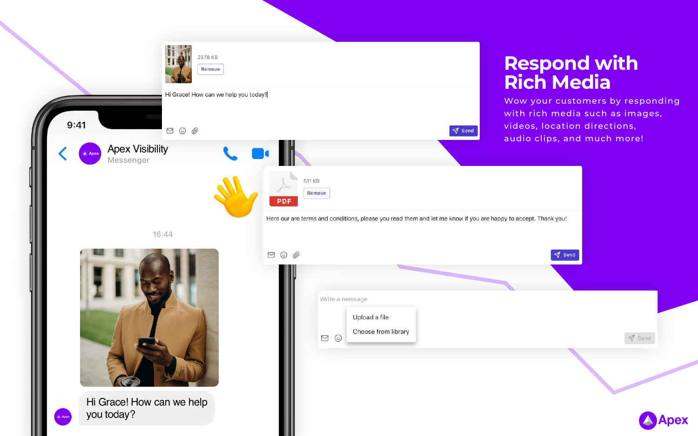

16:44



Hi Grace! How can we help you today?

|                | Write a message                      |  |
|----------------|--------------------------------------|--|
|                | Upload a file<br>Choose from library |  |
| $\circledcirc$ |                                      |  |
|                |                                      |  |

#### **Respond with Rich Media**

Wow your customers by responding with rich media such as images, videos, location directions, audio clips, and much more!

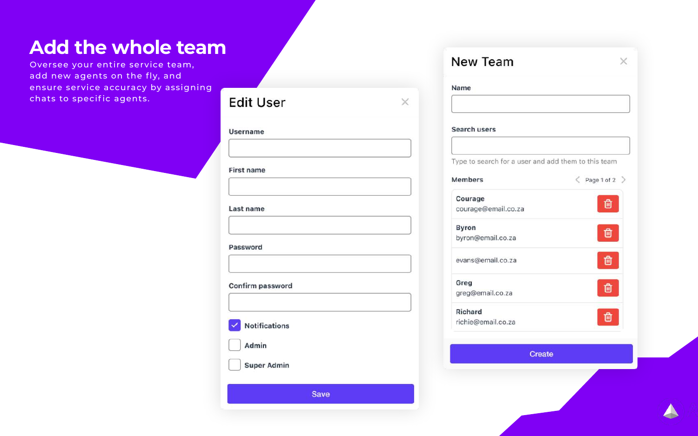#### **Add the whole team**

Oversee your entire service team, add new agents on the fly, and ensure service accuracy by assigning chats to specific agents.

|                                    | Name                      |
|------------------------------------|---------------------------|
| <b>Edit User</b><br>×              |                           |
| Username                           | Search user               |
| <b>First name</b>                  | Type to sear<br>Members   |
| Last name                          | Courage<br>courage@e      |
| Password                           | <b>Byron</b><br>byron@ema |
|                                    | evans@ema                 |
| Confirm password                   | Greg<br>greg@emai         |
| $\sqrt{\phantom{a}}$ Notifications | Richard<br>richie@ema     |
| Admin                              |                           |
| <b>Super Admin</b>                 |                           |
| <b>Save</b>                        |                           |
|                                    |                           |

| Name                                                |                                 |
|-----------------------------------------------------|---------------------------------|
|                                                     |                                 |
| Search users                                        |                                 |
|                                                     |                                 |
| Type to search for a user and add them to this team |                                 |
| <b>Members</b>                                      | $\langle$ Page 1 of 2 $\rangle$ |
| Courage                                             |                                 |
| courage@email.co.za                                 | णि                              |
| <b>Byron</b>                                        |                                 |
| byron@email.co.za                                   | ħ                               |
| evans@email.co.za                                   |                                 |
| Greg                                                |                                 |
| greg@email.co.za                                    | 動                               |
| Richard                                             | 面                               |
| richie@email.co.za                                  |                                 |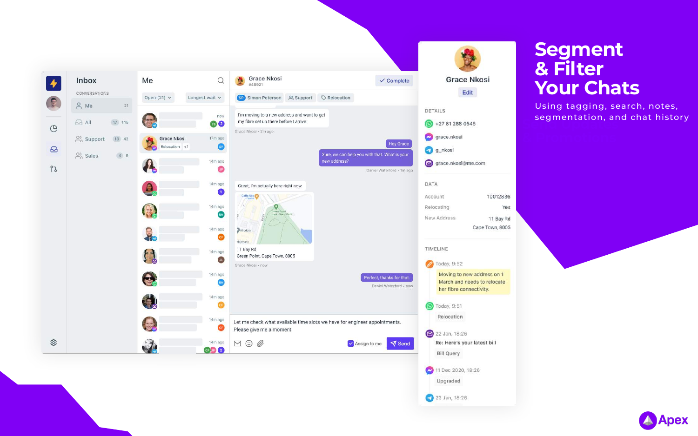

#### **Segment & Filter Your Chats**

segmentation, and chat history<br>
<u>segmentation, and chat history</u> Using tagging, search, notes,

10012836 Yes 11 Bay Rd

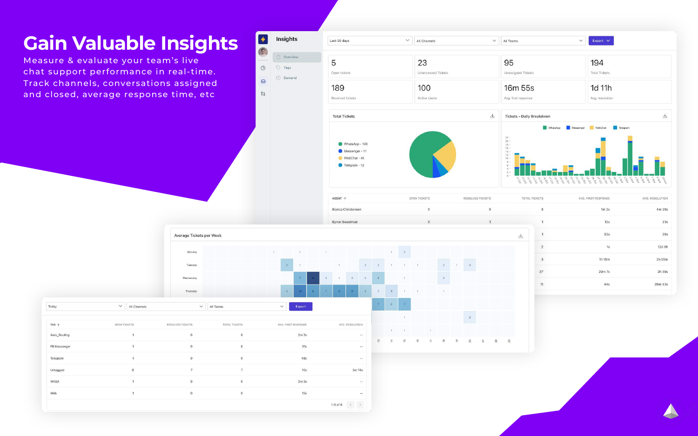### **Gain Valuable Insights**

Measure & evaluate your team's live chat support performance in real-time. Track channels, conversations assigned and closed, average response time, etc

| Insights   | Last 30 days<br>$\checkmark$                                      | All Channels              | N                |  |  |  |
|------------|-------------------------------------------------------------------|---------------------------|------------------|--|--|--|
| Overview   | 5                                                                 | 23                        |                  |  |  |  |
| Tags       |                                                                   | <b>Unanswered Tickets</b> |                  |  |  |  |
| (4) Demand | Open tickets                                                      |                           |                  |  |  |  |
|            | 189                                                               | 100                       |                  |  |  |  |
|            | Resolved tickets                                                  | <b>Active Users</b>       |                  |  |  |  |
|            | <b>Total Tickets</b>                                              |                           | 上                |  |  |  |
|            | WhatsApp - 126<br>Messenger - 11<br>WebChat - 45<br>Telegram - 12 |                           |                  |  |  |  |
|            | AGENT $\uparrow$                                                  | OPEN TICKETS              | RESOLVED TICKETS |  |  |  |
|            |                                                                   |                           |                  |  |  |  |
|            | Bianca Christensen                                                | $\,0\,$                   | 3                |  |  |  |

|              |              |                | Average Tickets per Week |              |                |              |                |                     |     |                |                            |                 |                |                |              |               |                      |               |                |               |                         |                         |
|--------------|--------------|----------------|--------------------------|--------------|----------------|--------------|----------------|---------------------|-----|----------------|----------------------------|-----------------|----------------|----------------|--------------|---------------|----------------------|---------------|----------------|---------------|-------------------------|-------------------------|
|              |              |                | Monday                   |              |                | $\mathbf{1}$ |                | $\mathbf{1}$        |     | $+$            |                            |                 |                |                | $\mathbf{1}$ | 3             |                      |               |                |               |                         |                         |
|              |              |                | Tuesday                  |              |                |              | 5              | $\mathcal{L}$       |     |                | 1                          |                 | 3 <sup>2</sup> | $\mathbf{2}$   |              | $\rightarrow$ | $\ddot{\phantom{1}}$ |               | $\mathbb{Z}$   |               | 3                       |                         |
|              |              |                | Wednesday                |              |                |              |                | $\mathcal{T}$       |     | $\mathfrak{B}$ | $\mathbf{1}$               | $2^{\circ}$     | 3              | $-5$           |              | $-1$          |                      |               | $\mathbb{Z}$   |               |                         |                         |
|              |              |                | Thursday                 |              |                |              | 5 <sub>1</sub> | $10 -$              | -91 | $\mathcal{T}$  | <b>G</b>                   | <b>B</b>        | $-5$           | $\bar{z}$      | $\sim$       | 1.            | $\mathbf{I}$         |               | $\mathcal{A}$  |               |                         |                         |
| Today        | $\checkmark$ | All Channels   |                          | $\checkmark$ | All Teams      |              | $\checkmark$   | Export              |     |                |                            |                 |                | $7$            | $6 -$        | $-7$          |                      |               |                |               |                         |                         |
|              |              |                |                          |              |                |              |                |                     |     |                |                            |                 |                |                |              | $+$           |                      |               |                |               | $\overline{2}$          |                         |
| TAG 个        | OPEN TICKETS |                | RESOLVED TICKETS         |              | TOTAL TICKETS  |              |                | AVG. FIRST RESPONSE |     |                |                            | AVG. RESOLUTION |                |                | $1 -$        | $-1$          |                      | $\mathcal{T}$ |                |               |                         |                         |
| Auto_Routing |              |                | $\mathsf{O}$             |              | $\circ$        |              |                | 3m3s                |     |                |                            |                 | $\sim$         | $\mathfrak{B}$ | $\tilde{a}$  |               |                      |               |                |               |                         |                         |
| FB Messenger |              | $\mathbf{1}$   | $\,$ 0 $\,$              |              | $\circ$        |              |                | $31s$               |     |                |                            |                 | $\cdots$       |                |              | 10            | 16                   | Z.            | $\frac{8}{10}$ | $\frac{m}{2}$ | $\overline{\mathbb{S}}$ | $\overline{\mathbb{N}}$ |
| Telegram     |              | $\mathbf{1}$   | $\mathbf 0$              |              | $\circ$        |              |                | 48s                 |     |                |                            |                 | $\sim$         |                |              |               |                      |               |                |               |                         |                         |
| Untagged     |              | $\circ$        | $\overline{7}$           |              | $\overline{7}$ |              |                | 10s                 |     |                |                            | 5m 14s          |                |                |              |               |                      |               |                |               |                         |                         |
| WABA         |              | $\mathbf{I}$   | $\mathbf 0$              |              | $\circ$        |              |                | 3m3s                |     |                |                            |                 | $\sim$         |                |              |               |                      |               |                |               |                         |                         |
| Web          |              | $\overline{1}$ | $\mathbf 0$              |              | $\circ$        |              |                | 12s                 |     |                |                            |                 | $\sim$ $ \sim$ |                |              |               |                      |               |                |               |                         |                         |
|              |              |                |                          |              |                |              |                |                     |     |                | 1-6 of 6 $\langle \rangle$ |                 |                |                |              |               |                      |               |                |               |                         |                         |

 $\mathbb{G}$ 

 $\boldsymbol{\Xi}$ 

 $93$ 





| $\mathsf 3$<br>1m <sub>2s</sub><br>4m 29s<br>$\overline{1}$<br>12s<br>23s<br>$\mathcal{L}_{\mathcal{N}}$<br>$\mathbf{1}$<br>53s<br>39s<br>山<br>$\sqrt{2}$<br>1s<br>12d 8h<br>1h 18m<br>2h 55m<br>$\ensuremath{\mathsf{3}}$<br>2h 39s<br>$27\,$<br>29m 7s<br>26m 53s<br>11<br>44s | ì,           | <b>TOTAL TICKETS</b> | AVG. FIRST RESPONSE | AVG. RESOLUTION |
|----------------------------------------------------------------------------------------------------------------------------------------------------------------------------------------------------------------------------------------------------------------------------------|--------------|----------------------|---------------------|-----------------|
|                                                                                                                                                                                                                                                                                  | š            |                      |                     |                 |
|                                                                                                                                                                                                                                                                                  | $\mathbf{L}$ |                      |                     |                 |
|                                                                                                                                                                                                                                                                                  |              |                      |                     |                 |
|                                                                                                                                                                                                                                                                                  |              |                      |                     |                 |
|                                                                                                                                                                                                                                                                                  |              |                      |                     |                 |
|                                                                                                                                                                                                                                                                                  |              |                      |                     |                 |
|                                                                                                                                                                                                                                                                                  |              |                      |                     |                 |
|                                                                                                                                                                                                                                                                                  |              |                      |                     |                 |
|                                                                                                                                                                                                                                                                                  |              |                      |                     |                 |

 $\approx$ 

 $\mathbb{R}^2$